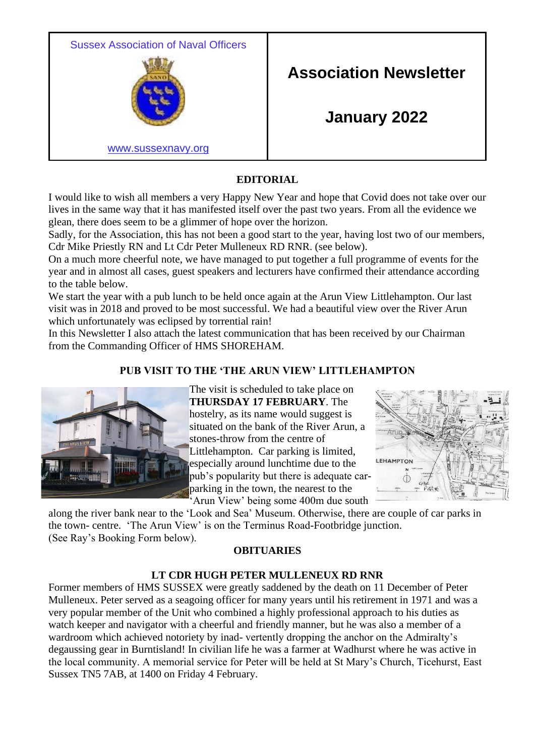Sussex Association of Naval Officers



**Association Newsletter**

**January 2022**

[www.sussexnavy.org](http://www.sussexnavy.org/)

# **EDITORIAL**

I would like to wish all members a very Happy New Year and hope that Covid does not take over our lives in the same way that it has manifested itself over the past two years. From all the evidence we glean, there does seem to be a glimmer of hope over the horizon.

Sadly, for the Association, this has not been a good start to the year, having lost two of our members, Cdr Mike Priestly RN and Lt Cdr Peter Mulleneux RD RNR. (see below).

On a much more cheerful note, we have managed to put together a full programme of events for the year and in almost all cases, guest speakers and lecturers have confirmed their attendance according to the table below.

We start the year with a pub lunch to be held once again at the Arun View Littlehampton. Our last visit was in 2018 and proved to be most successful. We had a beautiful view over the River Arun which unfortunately was eclipsed by torrential rain!

In this Newsletter I also attach the latest communication that has been received by our Chairman from the Commanding Officer of HMS SHOREHAM.

## **PUB VISIT TO THE 'THE ARUN VIEW' LITTLEHAMPTON**



The visit is scheduled to take place on **THURSDAY 17 FEBRUARY**. The hostelry, as its name would suggest is situated on the bank of the River Arun, a stones-throw from the centre of Littlehampton. Car parking is limited, especially around lunchtime due to the pub's popularity but there is adequate carparking in the town, the nearest to the 'Arun View' being some 400m due south



along the river bank near to the 'Look and Sea' Museum. Otherwise, there are couple of car parks in the town- centre. 'The Arun View' is on the Terminus Road-Footbridge junction. (See Ray's Booking Form below).

### **OBITUARIES**

### **LT CDR HUGH PETER MULLENEUX RD RNR**

Former members of HMS SUSSEX were greatly saddened by the death on 11 December of Peter Mulleneux. Peter served as a seagoing officer for many years until his retirement in 1971 and was a very popular member of the Unit who combined a highly professional approach to his duties as watch keeper and navigator with a cheerful and friendly manner, but he was also a member of a wardroom which achieved notoriety by inad- vertently dropping the anchor on the Admiralty's degaussing gear in Burntisland! In civilian life he was a farmer at Wadhurst where he was active in the local community. A memorial service for Peter will be held at St Mary's Church, Ticehurst, East Sussex TN5 7AB, at 1400 on Friday 4 February.